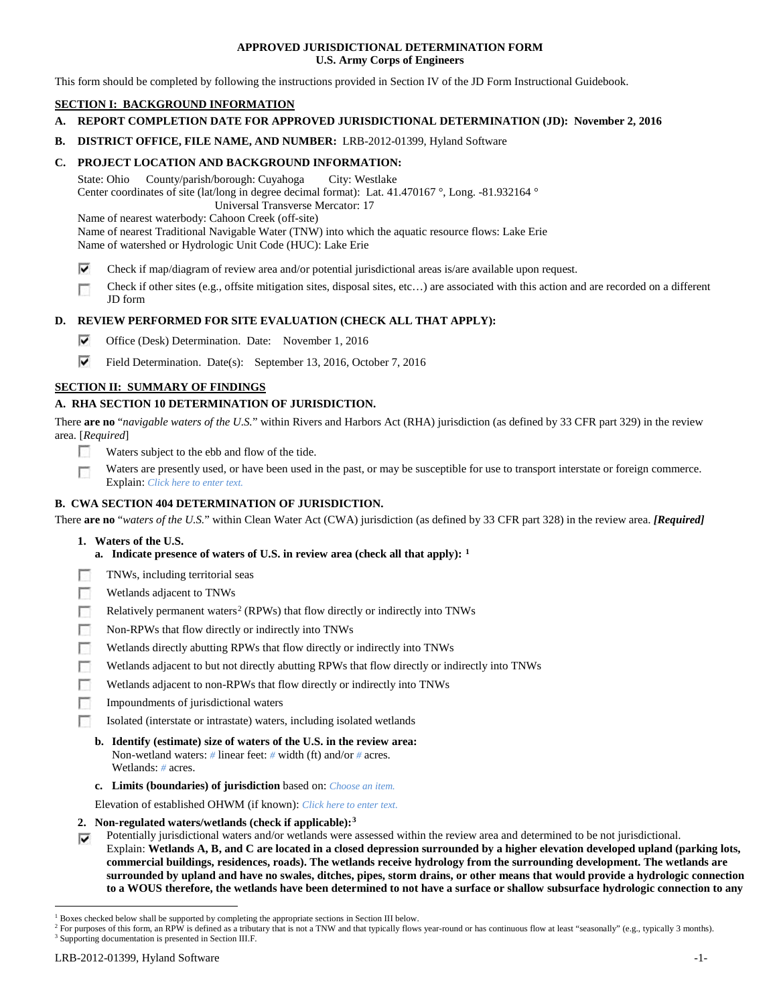# **APPROVED JURISDICTIONAL DETERMINATION FORM U.S. Army Corps of Engineers**

This form should be completed by following the instructions provided in Section IV of the JD Form Instructional Guidebook.

# **SECTION I: BACKGROUND INFORMATION**

# **A. REPORT COMPLETION DATE FOR APPROVED JURISDICTIONAL DETERMINATION (JD): November 2, 2016**

**B. DISTRICT OFFICE, FILE NAME, AND NUMBER:** LRB-2012-01399, Hyland Software

# **C. PROJECT LOCATION AND BACKGROUND INFORMATION:**

State: Ohio County/parish/borough: Cuyahoga City: Westlake Center coordinates of site (lat/long in degree decimal format): Lat. 41.470167 °, Long. -81.932164 ° Universal Transverse Mercator: 17 Name of nearest waterbody: Cahoon Creek (off-site)

Name of nearest Traditional Navigable Water (TNW) into which the aquatic resource flows: Lake Erie Name of watershed or Hydrologic Unit Code (HUC): Lake Erie

- ⊽ Check if map/diagram of review area and/or potential jurisdictional areas is/are available upon request.
- Check if other sites (e.g., offsite mitigation sites, disposal sites, etc…) are associated with this action and are recorded on a different п JD form

# **D. REVIEW PERFORMED FOR SITE EVALUATION (CHECK ALL THAT APPLY):**

- ⊽ Office (Desk) Determination. Date: November 1, 2016
- ⊽ Field Determination. Date(s): September 13, 2016, October 7, 2016

# **SECTION II: SUMMARY OF FINDINGS**

# **A. RHA SECTION 10 DETERMINATION OF JURISDICTION.**

There **are no** "*navigable waters of the U.S.*" within Rivers and Harbors Act (RHA) jurisdiction (as defined by 33 CFR part 329) in the review area. [*Required*]

- E Waters subject to the ebb and flow of the tide.
- Waters are presently used, or have been used in the past, or may be susceptible for use to transport interstate or foreign commerce. п Explain: *Click here to enter text.*

# **B. CWA SECTION 404 DETERMINATION OF JURISDICTION.**

There **are no** "*waters of the U.S.*" within Clean Water Act (CWA) jurisdiction (as defined by 33 CFR part 328) in the review area. *[Required]*

- **1. Waters of the U.S.**
	- **a. Indicate presence of waters of U.S. in review area (check all that apply): [1](#page-0-0)**
- TNWs, including territorial seas
- п Wetlands adjacent to TNWs
- Relatively permanent waters<sup>[2](#page-0-1)</sup> (RPWs) that flow directly or indirectly into TNWs п
- г Non-RPWs that flow directly or indirectly into TNWs
- œ Wetlands directly abutting RPWs that flow directly or indirectly into TNWs
- Wetlands adjacent to but not directly abutting RPWs that flow directly or indirectly into TNWs г
- Wetlands adjacent to non-RPWs that flow directly or indirectly into TNWs г
- п Impoundments of jurisdictional waters
- Isolated (interstate or intrastate) waters, including isolated wetlands n.
	- **b. Identify (estimate) size of waters of the U.S. in the review area:** Non-wetland waters: *#* linear feet: *#* width (ft) and/or *#* acres. Wetlands: *#* acres.
	- **c. Limits (boundaries) of jurisdiction** based on: *Choose an item.*

Elevation of established OHWM (if known): *Click here to enter text.*

**2. Non-regulated waters/wetlands (check if applicable):[3](#page-0-2)**

Potentially jurisdictional waters and/or wetlands were assessed within the review area and determined to be not jurisdictional. ⊽ Explain: **Wetlands A, B, and C are located in a closed depression surrounded by a higher elevation developed upland (parking lots, commercial buildings, residences, roads). The wetlands receive hydrology from the surrounding development. The wetlands are surrounded by upland and have no swales, ditches, pipes, storm drains, or other means that would provide a hydrologic connection to a WOUS therefore, the wetlands have been determined to not have a surface or shallow subsurface hydrologic connection to any** 

<span id="page-0-0"></span> <sup>1</sup> Boxes checked below shall be supported by completing the appropriate sections in Section III below.

<span id="page-0-2"></span><span id="page-0-1"></span><sup>&</sup>lt;sup>2</sup> For purposes of this form, an RPW is defined as a tributary that is not a TNW and that typically flows year-round or has continuous flow at least "seasonally" (e.g., typically 3 months).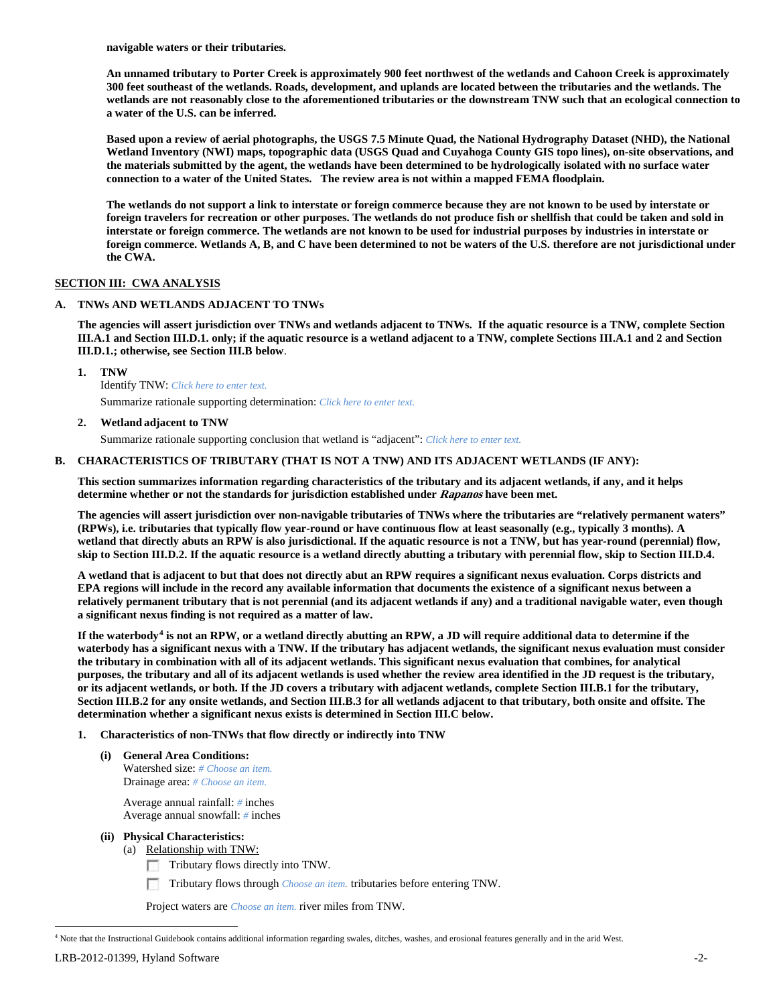**navigable waters or their tributaries.** 

**An unnamed tributary to Porter Creek is approximately 900 feet northwest of the wetlands and Cahoon Creek is approximately 300 feet southeast of the wetlands. Roads, development, and uplands are located between the tributaries and the wetlands. The wetlands are not reasonably close to the aforementioned tributaries or the downstream TNW such that an ecological connection to a water of the U.S. can be inferred.** 

**Based upon a review of aerial photographs, the USGS 7.5 Minute Quad, the National Hydrography Dataset (NHD), the National Wetland Inventory (NWI) maps, topographic data (USGS Quad and Cuyahoga County GIS topo lines), on-site observations, and the materials submitted by the agent, the wetlands have been determined to be hydrologically isolated with no surface water connection to a water of the United States. The review area is not within a mapped FEMA floodplain.** 

**The wetlands do not support a link to interstate or foreign commerce because they are not known to be used by interstate or foreign travelers for recreation or other purposes. The wetlands do not produce fish or shellfish that could be taken and sold in interstate or foreign commerce. The wetlands are not known to be used for industrial purposes by industries in interstate or foreign commerce. Wetlands A, B, and C have been determined to not be waters of the U.S. therefore are not jurisdictional under the CWA.** 

# **SECTION III: CWA ANALYSIS**

# **A. TNWs AND WETLANDS ADJACENT TO TNWs**

**The agencies will assert jurisdiction over TNWs and wetlands adjacent to TNWs. If the aquatic resource is a TNW, complete Section III.A.1 and Section III.D.1. only; if the aquatic resource is a wetland adjacent to a TNW, complete Sections III.A.1 and 2 and Section III.D.1.; otherwise, see Section III.B below**.

**1. TNW** 

Identify TNW: *Click here to enter text.*

Summarize rationale supporting determination: *Click here to enter text.*

# **2. Wetland adjacent to TNW**

Summarize rationale supporting conclusion that wetland is "adjacent": *Click here to enter text.*

# **B. CHARACTERISTICS OF TRIBUTARY (THAT IS NOT A TNW) AND ITS ADJACENT WETLANDS (IF ANY):**

**This section summarizes information regarding characteristics of the tributary and its adjacent wetlands, if any, and it helps determine whether or not the standards for jurisdiction established under Rapanos have been met.** 

**The agencies will assert jurisdiction over non-navigable tributaries of TNWs where the tributaries are "relatively permanent waters" (RPWs), i.e. tributaries that typically flow year-round or have continuous flow at least seasonally (e.g., typically 3 months). A wetland that directly abuts an RPW is also jurisdictional. If the aquatic resource is not a TNW, but has year-round (perennial) flow, skip to Section III.D.2. If the aquatic resource is a wetland directly abutting a tributary with perennial flow, skip to Section III.D.4.**

**A wetland that is adjacent to but that does not directly abut an RPW requires a significant nexus evaluation. Corps districts and EPA regions will include in the record any available information that documents the existence of a significant nexus between a relatively permanent tributary that is not perennial (and its adjacent wetlands if any) and a traditional navigable water, even though a significant nexus finding is not required as a matter of law.**

**If the waterbody[4](#page-1-0) is not an RPW, or a wetland directly abutting an RPW, a JD will require additional data to determine if the waterbody has a significant nexus with a TNW. If the tributary has adjacent wetlands, the significant nexus evaluation must consider the tributary in combination with all of its adjacent wetlands. This significant nexus evaluation that combines, for analytical purposes, the tributary and all of its adjacent wetlands is used whether the review area identified in the JD request is the tributary, or its adjacent wetlands, or both. If the JD covers a tributary with adjacent wetlands, complete Section III.B.1 for the tributary, Section III.B.2 for any onsite wetlands, and Section III.B.3 for all wetlands adjacent to that tributary, both onsite and offsite. The determination whether a significant nexus exists is determined in Section III.C below.**

- **1. Characteristics of non-TNWs that flow directly or indirectly into TNW**
	- **(i) General Area Conditions:** Watershed size: *# Choose an item.* Drainage area: *# Choose an item.*

Average annual rainfall: *#* inches Average annual snowfall: *#* inches

- **(ii) Physical Characteristics:**
	- (a) Relationship with TNW:
		- Tributary flows directly into TNW.

Tributary flows through *Choose an item.* tributaries before entering TNW. <u>гания</u>

Project waters are *Choose an item.* river miles from TNW.

<span id="page-1-0"></span><sup>&</sup>lt;sup>4</sup> Note that the Instructional Guidebook contains additional information regarding swales, ditches, washes, and erosional features generally and in the arid West.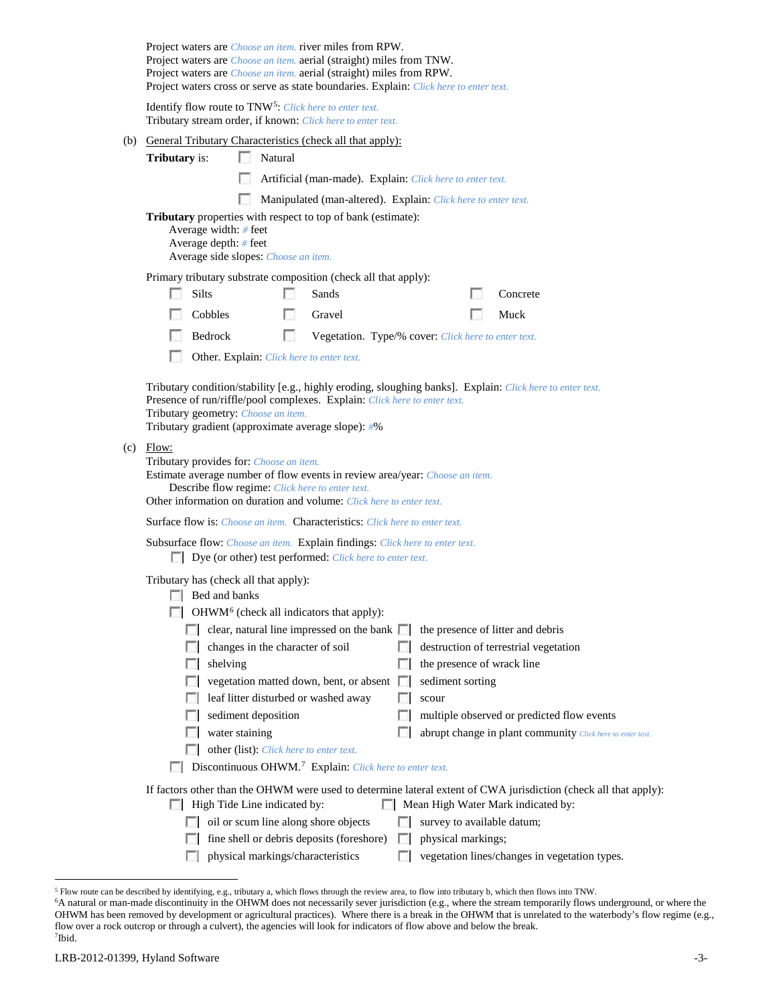| Project waters are <i>Choose an item</i> . river miles from RPW.<br>Project waters are <i>Choose an item.</i> aerial (straight) miles from TNW.<br>Project waters are <i>Choose an item.</i> aerial (straight) miles from RPW.<br>Project waters cross or serve as state boundaries. Explain: Click here to enter text. |  |  |  |
|-------------------------------------------------------------------------------------------------------------------------------------------------------------------------------------------------------------------------------------------------------------------------------------------------------------------------|--|--|--|
| Identify flow route to TNW <sup>5</sup> : Click here to enter text.<br>Tributary stream order, if known: Click here to enter text.                                                                                                                                                                                      |  |  |  |
| (b) General Tributary Characteristics (check all that apply):<br><b>Tributary</b> is:<br>$\mathcal{L}$<br>Natural                                                                                                                                                                                                       |  |  |  |
| Artificial (man-made). Explain: Click here to enter text.                                                                                                                                                                                                                                                               |  |  |  |
| Manipulated (man-altered). Explain: Click here to enter text.                                                                                                                                                                                                                                                           |  |  |  |
| <b>Tributary</b> properties with respect to top of bank (estimate):<br>Average width: # feet<br>Average depth: # feet<br>Average side slopes: Choose an item.                                                                                                                                                           |  |  |  |
| Primary tributary substrate composition (check all that apply):                                                                                                                                                                                                                                                         |  |  |  |
| Silts<br>Concrete<br>Sands                                                                                                                                                                                                                                                                                              |  |  |  |
| Cobbles<br>L.<br>Gravel<br>Muck                                                                                                                                                                                                                                                                                         |  |  |  |
| Bedrock<br>LST.<br>Vegetation. Type/% cover: Click here to enter text.                                                                                                                                                                                                                                                  |  |  |  |
| Other. Explain: Click here to enter text.                                                                                                                                                                                                                                                                               |  |  |  |
| Tributary condition/stability [e.g., highly eroding, sloughing banks]. Explain: Click here to enter text.<br>Presence of run/riffle/pool complexes. Explain: Click here to enter text.<br>Tributary geometry: Choose an item.<br>Tributary gradient (approximate average slope): #%                                     |  |  |  |
| $(c)$ Flow:<br>Tributary provides for: Choose an item.<br>Estimate average number of flow events in review area/year: Choose an item.<br>Describe flow regime: Click here to enter text.<br>Other information on duration and volume: Click here to enter text.                                                         |  |  |  |
| <b>Surface flow is:</b> Choose an item. <b>Characteristics:</b> Click here to enter text.                                                                                                                                                                                                                               |  |  |  |
| Subsurface flow: Choose an item. Explain findings: Click here to enter text.<br>Dye (or other) test performed: Click here to enter text.                                                                                                                                                                                |  |  |  |
| Tributary has (check all that apply):                                                                                                                                                                                                                                                                                   |  |  |  |
| $\Box$ Bed and banks                                                                                                                                                                                                                                                                                                    |  |  |  |
| $\Box$ OHWM <sup>6</sup> (check all indicators that apply):<br>clear, natural line impressed on the bank $\Box$                                                                                                                                                                                                         |  |  |  |
| the presence of litter and debris<br>changes in the character of soil<br>destruction of terrestrial vegetation                                                                                                                                                                                                          |  |  |  |
| the presence of wrack line<br>shelving                                                                                                                                                                                                                                                                                  |  |  |  |
| sediment sorting<br>vegetation matted down, bent, or absent $\square$                                                                                                                                                                                                                                                   |  |  |  |
| leaf litter disturbed or washed away<br>scour                                                                                                                                                                                                                                                                           |  |  |  |
| sediment deposition<br>multiple observed or predicted flow events                                                                                                                                                                                                                                                       |  |  |  |
| water staining<br>abrupt change in plant community Click here to enter text.                                                                                                                                                                                                                                            |  |  |  |
| other (list): Click here to enter text.<br>Discontinuous OHWM. <sup>7</sup> Explain: Click here to enter text.                                                                                                                                                                                                          |  |  |  |
|                                                                                                                                                                                                                                                                                                                         |  |  |  |
| If factors other than the OHWM were used to determine lateral extent of CWA jurisdiction (check all that apply):<br>High Tide Line indicated by:<br>Mean High Water Mark indicated by:<br>п                                                                                                                             |  |  |  |
| oil or scum line along shore objects<br>survey to available datum;                                                                                                                                                                                                                                                      |  |  |  |
| fine shell or debris deposits (foreshore)<br>physical markings;<br>L.                                                                                                                                                                                                                                                   |  |  |  |
| physical markings/characteristics<br>vegetation lines/changes in vegetation types.                                                                                                                                                                                                                                      |  |  |  |

<span id="page-2-2"></span><span id="page-2-1"></span>

<span id="page-2-0"></span><sup>&</sup>lt;sup>5</sup> Flow route can be described by identifying, e.g., tributary a, which flows through the review area, to flow into tributary b, which then flows into TNW.<br><sup>6</sup>A natural or man-made discontinuity in the OHWM does not neces OHWM has been removed by development or agricultural practices). Where there is a break in the OHWM that is unrelated to the waterbody's flow regime (e.g., flow over a rock outcrop or through a culvert), the agencies will look for indicators of flow above and below the break. 7 Ibid.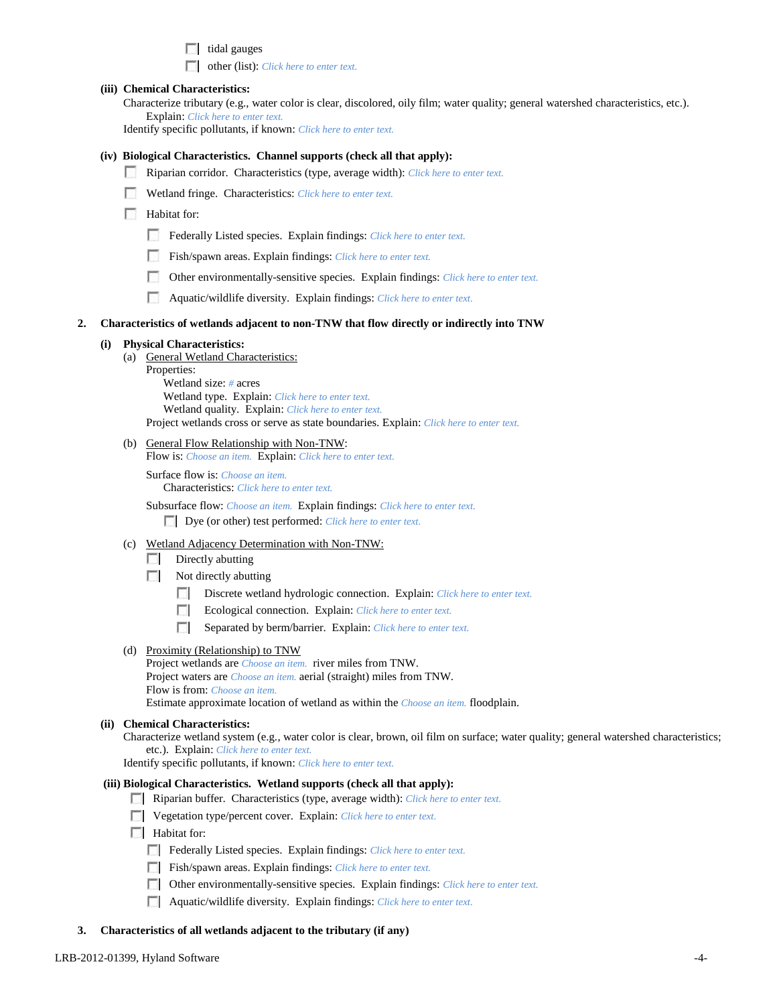$\Box$  tidal gauges

other (list): *Click here to enter text.*

### **(iii) Chemical Characteristics:**

Characterize tributary (e.g., water color is clear, discolored, oily film; water quality; general watershed characteristics, etc.). Explain: *Click here to enter text.*

Identify specific pollutants, if known: *Click here to enter text.*

### **(iv) Biological Characteristics. Channel supports (check all that apply):**

- Riparian corridor. Characteristics (type, average width): *Click here to enter text.*
- Wetland fringe. Characteristics: *Click here to enter text.*

**Habitat for:** 

- Federally Listed species. Explain findings: *Click here to enter text*.
- Fish/spawn areas. Explain findings: *Click here to enter text.*
- $\sim$ Other environmentally-sensitive species. Explain findings: *Click here to enter text.*
- п Aquatic/wildlife diversity. Explain findings: *Click here to enter text.*

### **2. Characteristics of wetlands adjacent to non-TNW that flow directly or indirectly into TNW**

### **(i) Physical Characteristics:**

- (a) General Wetland Characteristics:
	- Properties: Wetland size: *#* acres Wetland type. Explain: *Click here to enter text.* Wetland quality. Explain: *Click here to enter text.* Project wetlands cross or serve as state boundaries. Explain: *Click here to enter text.*
- (b) General Flow Relationship with Non-TNW:

Flow is: *Choose an item.* Explain: *Click here to enter text.*

Surface flow is: *Choose an item.* Characteristics: *Click here to enter text.*

Subsurface flow: *Choose an item.* Explain findings: *Click here to enter text.* Dye (or other) test performed: *Click here to enter text.*

- (c) Wetland Adjacency Determination with Non-TNW:
	- $\Box$  Directly abutting
	- $\Box$  Not directly abutting
		- $\mathcal{L}$ Discrete wetland hydrologic connection. Explain: *Click here to enter text.*
		- $\overline{a}$ Ecological connection. Explain: *Click here to enter text.*
		- $\sim$ Separated by berm/barrier. Explain: *Click here to enter text.*

# (d) Proximity (Relationship) to TNW

Project wetlands are *Choose an item.* river miles from TNW. Project waters are *Choose an item.* aerial (straight) miles from TNW. Flow is from: *Choose an item.* Estimate approximate location of wetland as within the *Choose an item.* floodplain.

### **(ii) Chemical Characteristics:**

Characterize wetland system (e.g., water color is clear, brown, oil film on surface; water quality; general watershed characteristics; etc.). Explain: *Click here to enter text.*

Identify specific pollutants, if known: *Click here to enter text.*

### **(iii) Biological Characteristics. Wetland supports (check all that apply):**

- Riparian buffer. Characteristics (type, average width): *Click here to enter text.*
- Vegetation type/percent cover. Explain: *Click here to enter text.*
- $\Box$  Habitat for:
	- Federally Listed species. Explain findings: *Click here to enter text*.
	- Fish/spawn areas. Explain findings: *Click here to enter text.*
	- Other environmentally-sensitive species. Explain findings: *Click here to enter text.*
	- Aquatic/wildlife diversity. Explain findings: *Click here to enter text.*

### **3. Characteristics of all wetlands adjacent to the tributary (if any)**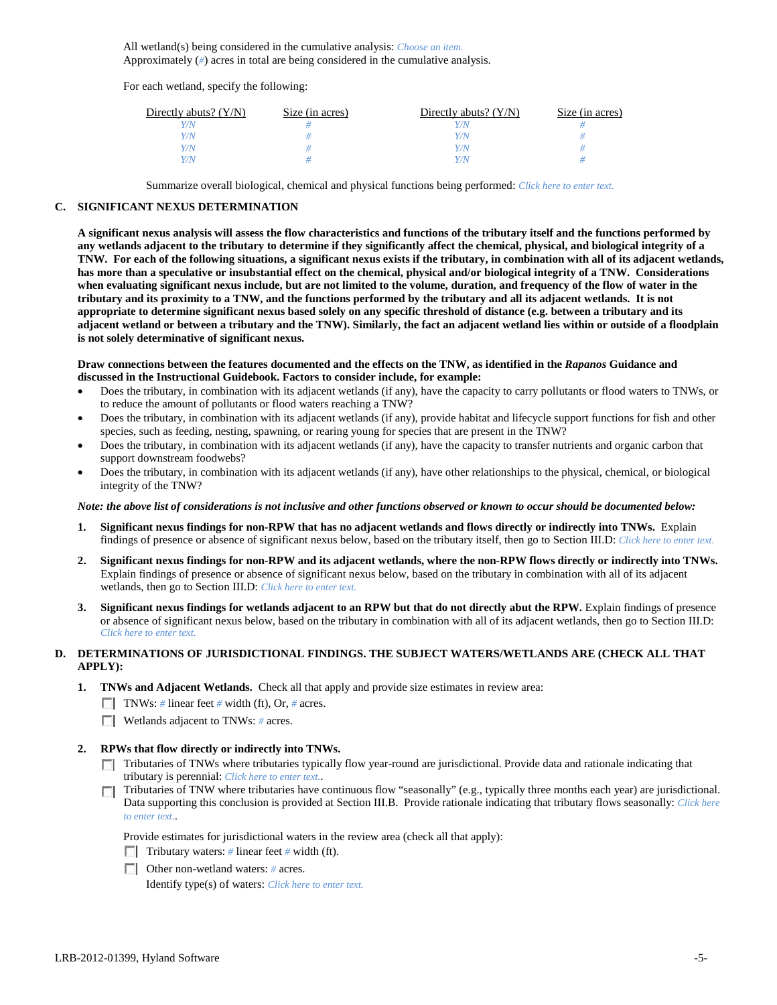All wetland(s) being considered in the cumulative analysis: *Choose an item.* Approximately (*#*) acres in total are being considered in the cumulative analysis.

For each wetland, specify the following:

| Directly abuts? $(Y/N)$ | Size (in acres) | Directly abuts? $(Y/N)$ | Size (in acres) |
|-------------------------|-----------------|-------------------------|-----------------|
| V/N                     |                 |                         |                 |
| Y/N                     |                 | Y/N                     |                 |
| Y/N                     |                 | Y/N                     |                 |
| Y/N                     |                 | Y/N                     |                 |

Summarize overall biological, chemical and physical functions being performed: *Click here to enter text.*

# **C. SIGNIFICANT NEXUS DETERMINATION**

**A significant nexus analysis will assess the flow characteristics and functions of the tributary itself and the functions performed by any wetlands adjacent to the tributary to determine if they significantly affect the chemical, physical, and biological integrity of a TNW. For each of the following situations, a significant nexus exists if the tributary, in combination with all of its adjacent wetlands, has more than a speculative or insubstantial effect on the chemical, physical and/or biological integrity of a TNW. Considerations when evaluating significant nexus include, but are not limited to the volume, duration, and frequency of the flow of water in the tributary and its proximity to a TNW, and the functions performed by the tributary and all its adjacent wetlands. It is not appropriate to determine significant nexus based solely on any specific threshold of distance (e.g. between a tributary and its adjacent wetland or between a tributary and the TNW). Similarly, the fact an adjacent wetland lies within or outside of a floodplain is not solely determinative of significant nexus.** 

**Draw connections between the features documented and the effects on the TNW, as identified in the** *Rapanos* **Guidance and discussed in the Instructional Guidebook. Factors to consider include, for example:**

- Does the tributary, in combination with its adjacent wetlands (if any), have the capacity to carry pollutants or flood waters to TNWs, or to reduce the amount of pollutants or flood waters reaching a TNW?
- Does the tributary, in combination with its adjacent wetlands (if any), provide habitat and lifecycle support functions for fish and other species, such as feeding, nesting, spawning, or rearing young for species that are present in the TNW?
- Does the tributary, in combination with its adjacent wetlands (if any), have the capacity to transfer nutrients and organic carbon that support downstream foodwebs?
- Does the tributary, in combination with its adjacent wetlands (if any), have other relationships to the physical, chemical, or biological integrity of the TNW?

### *Note: the above list of considerations is not inclusive and other functions observed or known to occur should be documented below:*

- **1. Significant nexus findings for non-RPW that has no adjacent wetlands and flows directly or indirectly into TNWs.** Explain findings of presence or absence of significant nexus below, based on the tributary itself, then go to Section III.D: *Click here to enter text.*
- **2. Significant nexus findings for non-RPW and its adjacent wetlands, where the non-RPW flows directly or indirectly into TNWs.**  Explain findings of presence or absence of significant nexus below, based on the tributary in combination with all of its adjacent wetlands, then go to Section III.D: *Click here to enter text.*
- **3. Significant nexus findings for wetlands adjacent to an RPW but that do not directly abut the RPW.** Explain findings of presence or absence of significant nexus below, based on the tributary in combination with all of its adjacent wetlands, then go to Section III.D: *Click here to enter text.*

# **D. DETERMINATIONS OF JURISDICTIONAL FINDINGS. THE SUBJECT WATERS/WETLANDS ARE (CHECK ALL THAT APPLY):**

- **1. TNWs and Adjacent Wetlands.** Check all that apply and provide size estimates in review area:
	- TNWs: *#* linear feet *#* width (ft), Or, *#* acres.
	- **Wetlands adjacent to TNWs:** # acres.

# **2. RPWs that flow directly or indirectly into TNWs.**

- Tributaries of TNWs where tributaries typically flow year-round are jurisdictional. Provide data and rationale indicating that tributary is perennial: *Click here to enter text.*.
- Tributaries of TNW where tributaries have continuous flow "seasonally" (e.g., typically three months each year) are jurisdictional.  $\mathcal{L}$ Data supporting this conclusion is provided at Section III.B. Provide rationale indicating that tributary flows seasonally: *Click here to enter text.*.

Provide estimates for jurisdictional waters in the review area (check all that apply):

- Tributary waters: # linear feet # width (ft).
- Other non-wetland waters: *#* acres.

Identify type(s) of waters: *Click here to enter text.*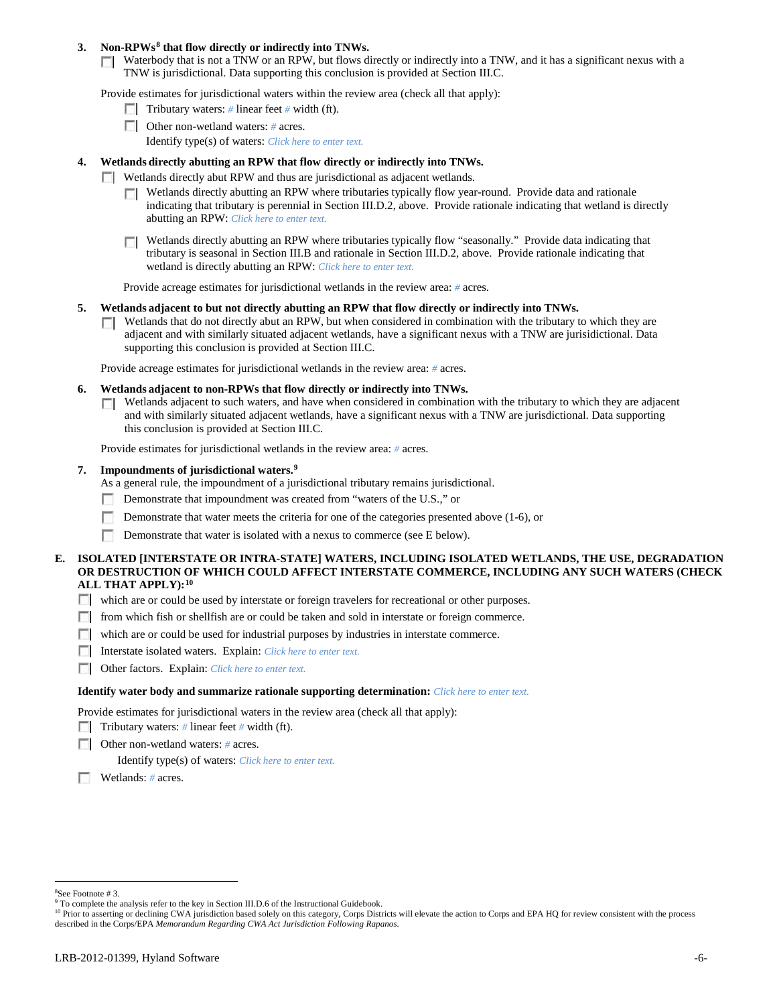## **3. Non-RPWs[8](#page-5-0) that flow directly or indirectly into TNWs.**

Waterbody that is not a TNW or an RPW, but flows directly or indirectly into a TNW, and it has a significant nexus with a TNW is jurisdictional. Data supporting this conclusion is provided at Section III.C.

Provide estimates for jurisdictional waters within the review area (check all that apply):

- **Tributary waters:** # linear feet # width (ft).
- Other non-wetland waters: *#* acres. Identify type(s) of waters: *Click here to enter text.*
- **4. Wetlands directly abutting an RPW that flow directly or indirectly into TNWs.**
	- **Wetlands directly abut RPW and thus are jurisdictional as adjacent wetlands.** 
		- $\Box$  Wetlands directly abutting an RPW where tributaries typically flow year-round. Provide data and rationale indicating that tributary is perennial in Section III.D.2, above. Provide rationale indicating that wetland is directly abutting an RPW: *Click here to enter text.*
		- Wetlands directly abutting an RPW where tributaries typically flow "seasonally." Provide data indicating that tributary is seasonal in Section III.B and rationale in Section III.D.2, above. Provide rationale indicating that wetland is directly abutting an RPW: *Click here to enter text.*

Provide acreage estimates for jurisdictional wetlands in the review area: *#* acres.

- **5. Wetlands adjacent to but not directly abutting an RPW that flow directly or indirectly into TNWs.**
	- $\Box$  Wetlands that do not directly abut an RPW, but when considered in combination with the tributary to which they are adjacent and with similarly situated adjacent wetlands, have a significant nexus with a TNW are jurisidictional. Data supporting this conclusion is provided at Section III.C.

Provide acreage estimates for jurisdictional wetlands in the review area: *#* acres.

- **6. Wetlands adjacent to non-RPWs that flow directly or indirectly into TNWs.** 
	- Wetlands adjacent to such waters, and have when considered in combination with the tributary to which they are adjacent  $\sim$ and with similarly situated adjacent wetlands, have a significant nexus with a TNW are jurisdictional. Data supporting this conclusion is provided at Section III.C.

Provide estimates for jurisdictional wetlands in the review area: *#* acres.

### **7. Impoundments of jurisdictional waters. [9](#page-5-1)**

As a general rule, the impoundment of a jurisdictional tributary remains jurisdictional.

- Demonstrate that impoundment was created from "waters of the U.S.," or
- Demonstrate that water meets the criteria for one of the categories presented above (1-6), or
- n Demonstrate that water is isolated with a nexus to commerce (see E below).
- **E. ISOLATED [INTERSTATE OR INTRA-STATE] WATERS, INCLUDING ISOLATED WETLANDS, THE USE, DEGRADATION OR DESTRUCTION OF WHICH COULD AFFECT INTERSTATE COMMERCE, INCLUDING ANY SUCH WATERS (CHECK ALL THAT APPLY):[10](#page-5-2)**
	- which are or could be used by interstate or foreign travelers for recreational or other purposes.
	- from which fish or shellfish are or could be taken and sold in interstate or foreign commerce.
	- which are or could be used for industrial purposes by industries in interstate commerce.
	- Interstate isolated waters.Explain: *Click here to enter text.*
	- Other factors.Explain: *Click here to enter text.*

### **Identify water body and summarize rationale supporting determination:** *Click here to enter text.*

Provide estimates for jurisdictional waters in the review area (check all that apply):

- Tributary waters: # linear feet # width (ft).
- Other non-wetland waters: *#* acres.

Identify type(s) of waters: *Click here to enter text.*

Wetlands: *#* acres.

 $\frac{1}{8}$ See Footnote # 3.

<span id="page-5-1"></span><span id="page-5-0"></span><sup>&</sup>lt;sup>9</sup> To complete the analysis refer to the key in Section III.D.6 of the Instructional Guidebook.

<span id="page-5-2"></span><sup>&</sup>lt;sup>10</sup> Prior to asserting or declining CWA jurisdiction based solely on this category, Corps Districts will elevate the action to Corps and EPA HQ for review consistent with the process described in the Corps/EPA *Memorandum Regarding CWA Act Jurisdiction Following Rapanos.*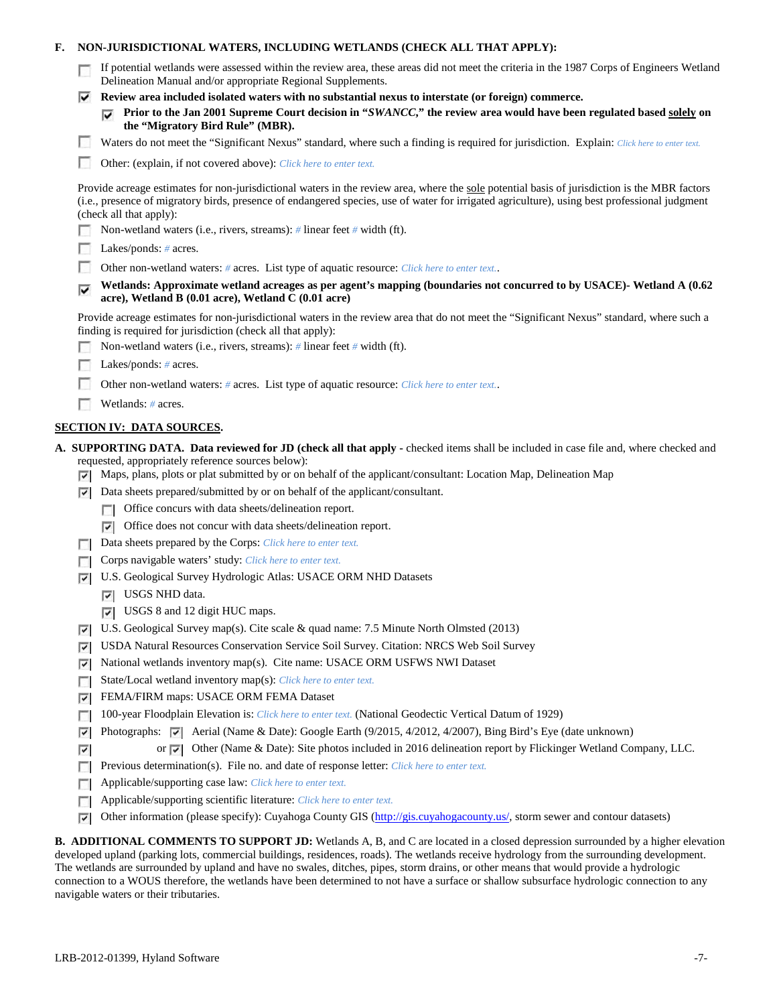# **F. NON-JURISDICTIONAL WATERS, INCLUDING WETLANDS (CHECK ALL THAT APPLY):**

| If potential wetlands were assessed within the review area, these areas did not meet the criteria in the 1987 Corps of Engineers Wetland |
|------------------------------------------------------------------------------------------------------------------------------------------|
| Delineation Manual and/or appropriate Regional Supplements.                                                                              |

**Review area included isolated waters with no substantial nexus to interstate (or foreign) commerce.**

|                                  | $\Box$ Prior to the Jan 2001 Supreme Court decision in "SWANCC," the review area would have been regulated based solely on |
|----------------------------------|----------------------------------------------------------------------------------------------------------------------------|
| the "Migratory Bird Rule" (MBR). |                                                                                                                            |

Waters do not meet the "Significant Nexus" standard, where such a finding is required for jurisdiction. Explain: Click here to enter text.

Other: (explain, if not covered above): *Click here to enter text.*

| Provide acreage estimates for non-jurisdictional waters in the review area, where the sole potential basis of jurisdiction is the MBR factors |
|-----------------------------------------------------------------------------------------------------------------------------------------------|
| (i.e., presence of migratory birds, presence of endangered species, use of water for irrigated agriculture), using best professional judgment |
| (check all that apply):                                                                                                                       |

- Non-wetland waters (i.e., rivers, streams): *#* linear feet *#* width (ft).
- Lakes/ponds: *#* acres.
- m. Other non-wetland waters: *#* acres. List type of aquatic resource: *Click here to enter text.*.

## **Wetlands: Approximate wetland acreages as per agent's mapping (boundaries not concurred to by USACE)- Wetland A (0.62 acre), Wetland B (0.01 acre), Wetland C (0.01 acre)**

Provide acreage estimates for non-jurisdictional waters in the review area that do not meet the "Significant Nexus" standard, where such a finding is required for jurisdiction (check all that apply):

- Non-wetland waters (i.e., rivers, streams): *#* linear feet *#* width (ft).
- **Lakes/ponds:** # acres.
- Other non-wetland waters: *#* acres. List type of aquatic resource: *Click here to enter text.*.
- Wetlands: *#* acres.

### **SECTION IV: DATA SOURCES.**

**A. SUPPORTING DATA. Data reviewed for JD (check all that apply -** checked items shall be included in case file and, where checked and requested, appropriately reference sources below):

- $\nabla$  Maps, plans, plots or plat submitted by or on behalf of the applicant/consultant: Location Map, Delineation Map
- $\triangleright$  Data sheets prepared/submitted by or on behalf of the applicant/consultant.
	- **T** Office concurs with data sheets/delineation report.
	- Office does not concur with data sheets/delineation report.
- Data sheets prepared by the Corps: *Click here to enter text.* L.
- Corps navigable waters' study: *Click here to enter text.*  $\Box$
- U.S. Geological Survey Hydrologic Atlas: USACE ORM NHD Datasets
	- **V** USGS NHD data.
	- USGS 8 and 12 digit HUC maps.
- $\triangledown$  U.S. Geological Survey map(s). Cite scale & quad name: 7.5 Minute North Olmsted (2013)
- USDA Natural Resources Conservation Service Soil Survey. Citation: NRCS Web Soil Survey
- National wetlands inventory map(s). Cite name: USACE ORM USFWS NWI Dataset ⊽
- State/Local wetland inventory map(s): *Click here to enter text.*
- FEMA/FIRM maps: USACE ORM FEMA Dataset ⊽
- 100-year Floodplain Elevation is: *Click here to enter text.* (National Geodectic Vertical Datum of 1929) L.
- Photographs:  $\blacktriangledown$  Aerial (Name & Date): Google Earth (9/2015, 4/2012, 4/2007), Bing Bird's Eye (date unknown) ⊽
- or  $\overline{|\cdot|}$  Other (Name & Date): Site photos included in 2016 delineation report by Flickinger Wetland Company, LLC. ⊡
- Previous determination(s). File no. and date of response letter: *Click here to enter text.*  $\overline{a}$
- Applicable/supporting case law: *Click here to enter text.* ГT.
- П Applicable/supporting scientific literature: *Click here to enter text.*
- Other information (please specify): Cuyahoga County GIS [\(http://gis.cuyahogacounty.us/,](http://gis.cuyahogacounty.us/) storm sewer and contour datasets) ⊽

**B. ADDITIONAL COMMENTS TO SUPPORT JD:** Wetlands A, B, and C are located in a closed depression surrounded by a higher elevation developed upland (parking lots, commercial buildings, residences, roads). The wetlands receive hydrology from the surrounding development. The wetlands are surrounded by upland and have no swales, ditches, pipes, storm drains, or other means that would provide a hydrologic connection to a WOUS therefore, the wetlands have been determined to not have a surface or shallow subsurface hydrologic connection to any navigable waters or their tributaries.